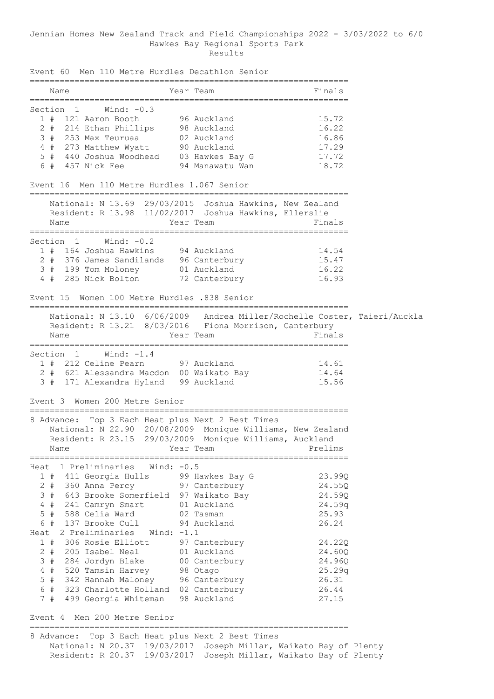#### Jennian Homes New Zealand Track and Field Championships 2022 - 3/03/2022 to 6/0 Hawkes Bay Regional Sports Park Results

Event 60 Men 110 Metre Hurdles Decathlon Senior ================================================================ Year Team ================================================================ Section 1 Wind: -0.3 1 # 121 Aaron Booth 96 Auckland 15.72 2 # 214 Ethan Phillips 98 Auckland 16.22 3 # 253 Max Teuruaa 02 Auckland 16.86 4 # 273 Matthew Wyatt 90 Auckland 17.29 5 # 440 Joshua Woodhead 03 Hawkes Bay G 17.72 6 # 457 Nick Fee 94 Manawatu Wan 18.72 Event 16 Men 110 Metre Hurdles 1.067 Senior ================================================================ National: N 13.69 29/03/2015 Joshua Hawkins, New Zealand Resident: R 13.98 11/02/2017 Joshua Hawkins, Ellerslie<br>Name Rear Team Year Team ================================================================ Section 1 Wind: -0.2 1 # 164 Joshua Hawkins 94 Auckland 14.54<br>2 # 376 James Sandilands 96 Canterbury 15.47 2 # 376 James Sandilands 96 Canterbury 15.47 3 # 199 Tom Moloney 01 Auckland 16.22 4 # 285 Nick Bolton 72 Canterbury 16.93 Event 15 Women 100 Metre Hurdles .838 Senior ================================================================ National: N 13.10 6/06/2009 Andrea Miller/Rochelle Coster, Taieri/Auckla Resident: R 13.21 8/03/2016 Fiona Morrison, Canterbury Name **South Strain Team Team** Pinals ================================================================ Section 1 Wind: -1.4 1 # 212 Celine Pearn 97 Auckland 14.61 2 # 621 Alessandra Macdon 00 Waikato Bay 14.64 3 # 171 Alexandra Hyland 99 Auckland 15.56 Event 3 Women 200 Metre Senior ================================================================ 8 Advance: Top 3 Each Heat plus Next 2 Best Times National: N 22.90 20/08/2009 Monique Williams, New Zealand Resident: R 23.15 29/03/2009 Monique Williams, Auckland Name **Name** Year Team **Prelims** ================================================================ Heat 1 Preliminaries Wind: -0.5 1 # 411 Georgia Hulls 99 Hawkes Bay G 23.99Q 2 # 360 Anna Percy 97 Canterbury 24.55Q 3 # 643 Brooke Somerfield 97 Waikato Bay 24.59Q 4 # 241 Camryn Smart 01 Auckland 24.59q 5 # 588 Celia Ward 02 Tasman 25.93 6 # 137 Brooke Cull 94 Auckland 26.24 Heat 2 Preliminaries Wind:  $-1.1$ <br>1 # 306 Rosie Elliott 97 Canterbury 1 # 306 Rosie Elliott 97 Canterbury 24.22Q 2 # 205 Isabel Neal 01 Auckland 24.60Q 3 # 284 Jordyn Blake 00 Canterbury 24.96Q 4 # 520 Tamsin Harvey 98 Otago 25.29q 5 # 342 Hannah Maloney 96 Canterbury 26.31 6 # 323 Charlotte Holland 02 Canterbury 26.44 7 # 499 Georgia Whiteman 98 Auckland 27.15 Event 4 Men 200 Metre Senior ================================================================

8 Advance: Top 3 Each Heat plus Next 2 Best Times National: N 20.37 19/03/2017 Joseph Millar, Waikato Bay of Plenty Resident: R 20.37 19/03/2017 Joseph Millar, Waikato Bay of Plenty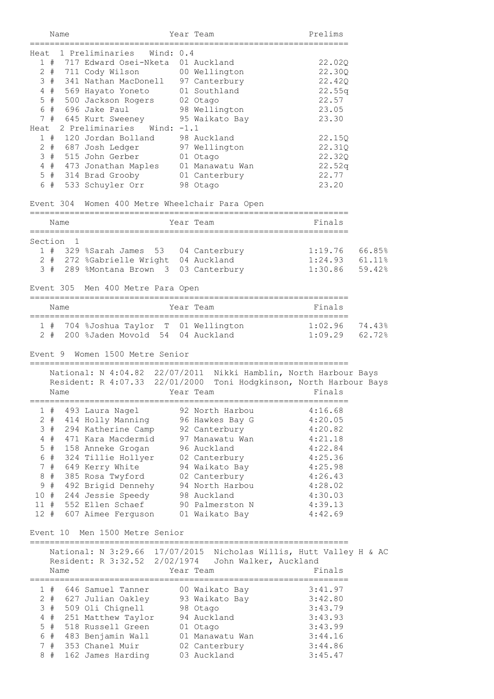|      | Name                |                                            |                                                                   |        | Year Team                                                                                                                 | Prelims            |        |
|------|---------------------|--------------------------------------------|-------------------------------------------------------------------|--------|---------------------------------------------------------------------------------------------------------------------------|--------------------|--------|
| Heat |                     | 1 Preliminaries                            | Wind: $0.4$                                                       |        |                                                                                                                           |                    |        |
|      | 1#                  |                                            | 717 Edward Osei-Nketa                                             |        | 01 Auckland                                                                                                               | 22.02Q             |        |
|      | $2+$                | 711 Cody Wilson                            |                                                                   |        | 00 Wellington                                                                                                             | 22.30Q             |        |
|      | 3#                  |                                            | 341 Nathan MacDonell 97 Canterbury                                |        |                                                                                                                           | 22.42Q             |        |
|      | $4$ #               | 569 Hayato Yoneto                          |                                                                   |        | 01 Southland                                                                                                              | 22.55q             |        |
|      | $5$ #               | 500 Jackson Rogers                         |                                                                   |        | 02 Otago                                                                                                                  | 22.57              |        |
|      |                     | $6$ # $696$ Jake Paul                      |                                                                   |        | 98 Wellington                                                                                                             | 23.05              |        |
|      |                     |                                            | 7 # 645 Kurt Sweeney                                              |        | 95 Waikato Bay                                                                                                            | 23.30              |        |
| Heat |                     | 2 Preliminaries                            | Wind: -1.1                                                        |        |                                                                                                                           |                    |        |
|      | 1#                  | 120 Jordan Bolland                         |                                                                   |        | 98 Auckland                                                                                                               | 22.15Q             |        |
|      |                     | 2 # 687 Josh Ledger                        |                                                                   |        | 97 Wellington                                                                                                             | 22.31Q             |        |
|      |                     | 3 # 515 John Gerber                        |                                                                   |        | 01 Otago                                                                                                                  | 22.32Q             |        |
|      |                     |                                            |                                                                   |        | 4 # 473 Jonathan Maples 01 Manawatu Wan                                                                                   | 22.52q             |        |
|      | 6 #                 | 5 # 314 Brad Grooby<br>533 Schuyler Orr    |                                                                   |        | 01 Canterbury                                                                                                             | 22.77<br>23.20     |        |
|      |                     |                                            |                                                                   |        | 98 Otago                                                                                                                  |                    |        |
|      |                     |                                            |                                                                   |        | Event 304 Women 400 Metre Wheelchair Para Open                                                                            |                    |        |
|      | Name<br>=========== |                                            |                                                                   | ====== | Year Team                                                                                                                 | Finals             |        |
|      | Section 1           |                                            |                                                                   |        |                                                                                                                           |                    |        |
|      |                     |                                            | 1 # 329 %Sarah James 53 04 Canterbury                             |        |                                                                                                                           | 1:19.76            | 66.85% |
|      |                     |                                            | 2 # 272 %Gabrielle Wright 04 Auckland                             |        |                                                                                                                           | 1:24.93            | 61.11% |
|      | 3#                  |                                            | 289 %Montana Brown 3 03 Canterbury                                |        |                                                                                                                           | 1:30.86            | 59.42% |
|      |                     |                                            |                                                                   |        |                                                                                                                           |                    |        |
|      |                     |                                            | Event 305 Men 400 Metre Para Open                                 |        |                                                                                                                           |                    |        |
|      | Name                |                                            |                                                                   |        | Year Team                                                                                                                 | Finals             |        |
|      |                     |                                            | 1 # 704 %Joshua Taylor T 01 Wellington                            |        |                                                                                                                           | 1:02.96            | 74.43% |
|      | 2 #                 |                                            | 200 %Jaden Movold 54 04 Auckland                                  |        |                                                                                                                           | 1:09.29            | 62.72% |
|      |                     |                                            |                                                                   |        |                                                                                                                           |                    |        |
|      | Name                |                                            | Event 9 Women 1500 Metre Senior<br>Resident: R 4:07.33 22/01/2000 |        | National: N 4:04.82 22/07/2011 Nikki Hamblin, North Harbour Bays<br>Toni Hodgkinson, North Harbour Bays<br>Year Team      | Finals             |        |
|      |                     | ;====================                      |                                                                   |        |                                                                                                                           |                    |        |
|      | 1#                  | 493 Laura Nagel                            |                                                                   |        | 92 North Harbou                                                                                                           | 4:16.68            |        |
|      | $2 +$               | 414 Holly Manning                          |                                                                   |        | 96 Hawkes Bay G                                                                                                           | 4:20.05            |        |
|      | 3#                  | 294 Katherine Camp                         |                                                                   |        | 92 Canterbury                                                                                                             | 4:20.82            |        |
|      | $4$ #               | 471 Kara Macdermid                         |                                                                   |        | 97 Manawatu Wan                                                                                                           | 4:21.18            |        |
|      | $5$ #               | 158 Anneke Grogan                          |                                                                   |        | 96 Auckland                                                                                                               | 4:22.84            |        |
|      | 6 #                 | 324 Tillie Hollyer                         |                                                                   |        | 02 Canterbury                                                                                                             | 4:25.36            |        |
|      | 7#                  | 649 Kerry White                            |                                                                   |        | 94 Waikato Bay                                                                                                            | 4:25.98            |        |
|      | 8 #                 | 385 Rosa Twyford                           |                                                                   |        | 02 Canterbury                                                                                                             | 4:26.43            |        |
|      | 9#                  | 492 Brigid Dennehy                         |                                                                   |        | 94 North Harbou                                                                                                           | 4:28.02            |        |
|      |                     | 10 # 244 Jessie Speedy                     |                                                                   |        | 98 Auckland                                                                                                               | 4:30.03            |        |
|      |                     | 11 # 552 Ellen Schaef                      |                                                                   |        | 90 Palmerston N                                                                                                           | 4:39.13<br>4:42.69 |        |
|      |                     | 12 # 607 Aimee Ferguson                    | Event 10 Men 1500 Metre Senior                                    |        | 01 Waikato Bay                                                                                                            |                    |        |
|      |                     |                                            |                                                                   |        |                                                                                                                           |                    |        |
|      |                     |                                            |                                                                   |        | National: N 3:29.66 17/07/2015 Nicholas Willis, Hutt Valley H & AC<br>Resident: R 3:32.52 2/02/1974 John Walker, Auckland |                    |        |
|      | Name                |                                            |                                                                   |        | Year Team                                                                                                                 | Finals             |        |
|      |                     |                                            |                                                                   |        |                                                                                                                           |                    |        |
|      | 1#                  | 646 Samuel Tanner                          |                                                                   |        | 00 Waikato Bay                                                                                                            | 3:41.97            |        |
|      |                     | 2 # 627 Julian Oakley                      |                                                                   |        | 93 Waikato Bay                                                                                                            | 3:42.80            |        |
|      | $4$ #               | 3 # 509 Oli Chignell<br>251 Matthew Taylor |                                                                   |        | 98 Otago<br>94 Auckland                                                                                                   | 3:43.79<br>3:43.93 |        |
|      | $5$ #               | 518 Russell Green                          |                                                                   |        |                                                                                                                           | 3:43.99            |        |
|      | 6#                  | 483 Benjamin Wall                          |                                                                   |        | 01 Otago<br>01 Manawatu Wan                                                                                               | 3:44.16            |        |
|      | 7#                  | 353 Chanel Muir                            |                                                                   |        | 02 Canterbury                                                                                                             | 3:44.86            |        |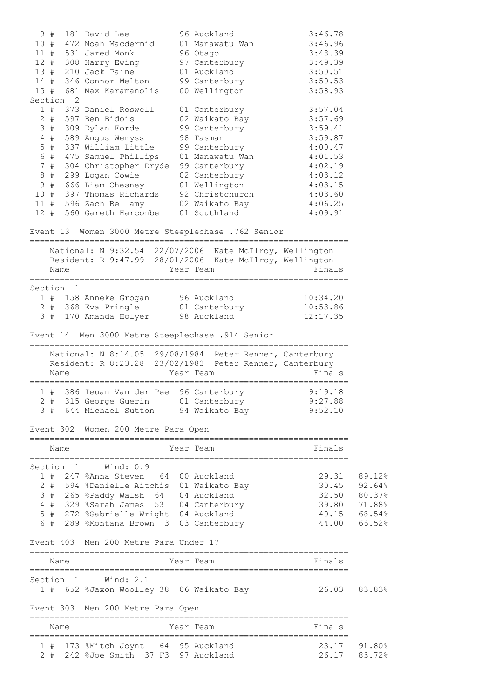|                 |           | 9 # 181 David Lee                                                                            | 96 Auckland                  | 3:46.78                          |                              |
|-----------------|-----------|----------------------------------------------------------------------------------------------|------------------------------|----------------------------------|------------------------------|
|                 |           | 10 # 472 Noah Macdermid                                                                      | 01 Manawatu Wan              | 3:46.96                          |                              |
|                 |           | 11 # 531 Jared Monk<br>12 # 308 Harry Ewing                                                  | 96 Otago<br>97 Canterbury    | 3:48.39<br>3:49.39               |                              |
|                 |           | 13 # 210 Jack Paine                                                                          | 01 Auckland                  | 3:50.51                          |                              |
|                 |           | 14 # 346 Connor Melton                                                                       | 99 Canterbury                | 3:50.53                          |                              |
|                 |           | 15 # 681 Max Karamanolis                                                                     | 00 Wellington                | 3:58.93                          |                              |
|                 | Section 2 |                                                                                              |                              |                                  |                              |
|                 |           | 1 # 373 Daniel Roswell                                                                       | 01 Canterbury                | 3:57.04                          |                              |
|                 |           | 2 # 597 Ben Bidois                                                                           | 02 Waikato Bay               | 3:57.69<br>3:59.41               |                              |
|                 |           | 3 # 309 Dylan Forde<br>4 # 589 Angus Wemyss                                                  | 99 Canterbury<br>98 Tasman   | 3:59.87                          |                              |
|                 |           | 5 # 337 William Little                                                                       | 99 Canterbury                | 4:00.47                          |                              |
|                 |           | 6 # 475 Samuel Phillips                                                                      | 01 Manawatu Wan              | 4:01.53                          |                              |
|                 | 7#        | 304 Christopher Dryde 99 Canterbury                                                          |                              | 4:02.19                          |                              |
|                 |           | 8 # 299 Logan Cowie                                                                          | 02 Canterbury                | 4:03.12                          |                              |
|                 |           | 9 # 666 Liam Chesney 01 Wellington                                                           |                              | 4:03.15                          |                              |
|                 |           | 10 # 397 Thomas Richards 92 Christchurch                                                     |                              | 4:03.60                          |                              |
|                 |           | 11 # 596 Zach Bellamy 02 Waikato Bay                                                         |                              | 4:06.25                          |                              |
|                 |           | 12 # 560 Gareth Harcombe 01 Southland                                                        |                              | 4:09.91                          |                              |
|                 |           | Event 13 Women 3000 Metre Steeplechase .762 Senior                                           |                              |                                  |                              |
|                 |           | National: N 9:32.54 22/07/2006 Kate McIlroy, Wellington                                      |                              |                                  |                              |
|                 |           | Resident: R 9:47.99 28/01/2006 Kate McIlroy, Wellington                                      |                              |                                  |                              |
|                 | Name      | Year Team                                                                                    |                              | Finals                           |                              |
|                 | Section 1 |                                                                                              |                              |                                  |                              |
|                 |           | 1 # 158 Anneke Grogan<br>2 # 368 Eva Pringle<br>3 # 170 Amanda Holyer                        | 96 Auckland                  |                                  |                              |
|                 |           |                                                                                              | 01 Canterbury<br>98 Auckland | 10:34.20<br>10:53.86<br>12:17.35 |                              |
|                 |           |                                                                                              |                              | 12:17.35                         |                              |
|                 |           | Event 14 Men 3000 Metre Steeplechase .914 Senior                                             |                              |                                  |                              |
| $=$ $=$ $=$ $=$ |           | ---------------<br>==============<br>National: N 8:14.05 29/08/1984 Peter Renner, Canterbury |                              |                                  |                              |
|                 |           | Resident: R 8:23.28 23/02/1983 Peter Renner, Canterbury                                      |                              |                                  |                              |
|                 | Name      |                                                                                              | Year Team                    | Finals                           |                              |
|                 |           |                                                                                              |                              |                                  |                              |
|                 |           | 1 # 386 Ieuan Van der Pee 96 Canterbury 9:19.18                                              |                              |                                  |                              |
|                 |           | 2 # 315 George Guerin 01 Canterbury<br>3 # 644 Michael Sutton 94 Waikato Bay 9:52.10         |                              | 9:27.88                          |                              |
|                 |           |                                                                                              |                              |                                  |                              |
|                 |           | Event 302 Women 200 Metre Para Open                                                          |                              |                                  |                              |
|                 | Name      |                                                                                              | Year Team                    | Finals                           |                              |
|                 |           |                                                                                              |                              |                                  |                              |
|                 |           | Section 1 Wind: 0.9                                                                          |                              |                                  |                              |
|                 |           | 1 # 247 %Anna Steven 64 00 Auckland                                                          |                              |                                  | 29.31 89.12%                 |
|                 |           | 2 # 594 %Danielle Aitchis 01 Waikato Bay<br>3 # 265 %Paddy Walsh 64 04 Auckland              |                              |                                  | 30.45 92.64%<br>32.50 80.37% |
|                 |           | 4 # 329 %Sarah James 53 04 Canterbury                                                        |                              | 39.80 71.88%                     |                              |
|                 |           | 5 # 272 %Gabrielle Wright 04 Auckland                                                        |                              | 40.15 68.54%                     |                              |
|                 |           | 6 # 289 %Montana Brown 3 03 Canterbury                                                       |                              | 44.00 66.52%                     |                              |
|                 |           |                                                                                              |                              |                                  |                              |
|                 |           | Event 403 Men 200 Metre Para Under 17                                                        |                              |                                  |                              |
|                 | Name      | Year Team                                                                                    |                              | Finals                           |                              |
|                 |           | Section 1 Wind: 2.1                                                                          |                              |                                  |                              |
|                 |           | 1 # 652 %Jaxon Woolley 38 06 Waikato Bay 6 26.03 83.83%                                      |                              |                                  |                              |
|                 |           | Event 303 Men 200 Metre Para Open                                                            |                              |                                  |                              |
|                 |           |                                                                                              |                              |                                  |                              |
|                 | Name      |                                                                                              | Year Team                    | Finals                           |                              |
|                 |           | 1 # 173 %Mitch Joynt 64 95 Auckland                                                          |                              | 23.17 91.80%                     |                              |

2 # 242 %Joe Smith 37 F3 97 Auckland 26.17 83.72%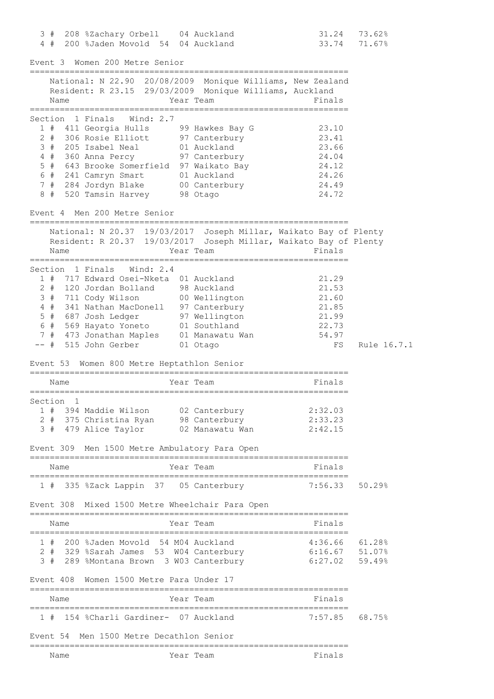| 3 # 208 %Zachary Orbell 04 Auckland  | 31.24 73.62% |  |
|--------------------------------------|--------------|--|
| 4 # 200 %Jaden Movold 54 04 Auckland | 33.74 71.67% |  |

| Event 3  Women 200 Metre Senior                                                                                                                                                                                                                                                                                          |                              |                                                                      |             |
|--------------------------------------------------------------------------------------------------------------------------------------------------------------------------------------------------------------------------------------------------------------------------------------------------------------------------|------------------------------|----------------------------------------------------------------------|-------------|
| =====================<br>National: N 22.90 20/08/2009 Monique Williams, New Zealand<br>Resident: R 23.15 29/03/2009 Monique Williams, Auckland<br>Name                                                                                                                                                                   | Year Team                    | Finals<br>============                                               |             |
| Section 1 Finals Wind: 2.7<br>1 # 411 Georgia Hulls 99 Hawkes Bay G<br>2 # 306 Rosie Elliott 97 Canterbury<br>3 # 205 Isabel Neal 01 Auckland<br>4 # 360 Anna Percy 97 Canterbury<br>5 # 643 Brooke Somerfield 97 Waikato Bay<br>6 # 241 Camryn Smart<br>7 # 284 Jordyn Blake<br>8 # 520 Tamsin Harvey 98 Otago          | 01 Auckland<br>00 Canterbury | 23.10<br>23.41<br>23.66<br>24.04<br>24.12<br>24.26<br>24.49<br>24.72 |             |
| Event 4 Men 200 Metre Senior<br>===============                                                                                                                                                                                                                                                                          |                              |                                                                      |             |
| National: N 20.37 19/03/2017 Joseph Millar, Waikato Bay of Plenty<br>Resident: R 20.37 19/03/2017 Joseph Millar, Waikato Bay of Plenty<br>Name<br>===============                                                                                                                                                        | Year Team                    | Finals                                                               |             |
| Section 1 Finals Wind: 2.4<br>1 # 717 Edward Osei-Nketa 01 Auckland<br>2 # 120 Jordan Bolland 98 Auckland<br>3 # 711 Cody Wilson 00 Wellington<br>4 # 341 Nathan MacDonell 97 Canterbury<br>5 # 687 Josh Ledger<br>6 # 569 Hayato Yoneto 01 Southland<br>7 # 473 Jonathan Maples 01 Manawatu Wan<br>-- # 515 John Gerber | 97 Wellington<br>01 Otago    | 21.29<br>21.53<br>21.60<br>21.85<br>21.99<br>22.73<br>54.97<br>FS    | Rule 16.7.1 |
| Event 53 Women 800 Metre Heptathlon Senior                                                                                                                                                                                                                                                                               |                              |                                                                      |             |
| Name                                                                                                                                                                                                                                                                                                                     | Year Team                    | Finals                                                               |             |
| Section 1<br>1 # 394 Maddie Wilson 02 Canterbury<br>2 # 375 Christina Ryan 98 Canterbury<br>3#<br>479 Alice Taylor<br>Event 309 Men 1500 Metre Ambulatory Para Open                                                                                                                                                      | 02 Manawatu Wan              | 2:32.03<br>2:33.23<br>2:42.15                                        |             |
| ===========================<br>Name<br>Year Team                                                                                                                                                                                                                                                                         |                              | Finals                                                               |             |
| 1 # 335 %Zack Lappin 37 05 Canterbury 7:56.33 50.29%                                                                                                                                                                                                                                                                     |                              |                                                                      |             |
| Event 308 Mixed 1500 Metre Wheelchair Para Open                                                                                                                                                                                                                                                                          |                              |                                                                      |             |
| Name                                                                                                                                                                                                                                                                                                                     | Year Team                    | Finals                                                               |             |
| 1 # 200 %Jaden Movold 54 M04 Auckland<br>2 # 329 %Sarah James 53 W04 Canterbury<br>3 # 289 %Montana Brown 3 W03 Canterbury                                                                                                                                                                                               |                              | $4:36.66$ $61.28%$<br>$6:16.67$ 51.07%<br>6:27.02 59.49%             |             |
| Event 408 Women 1500 Metre Para Under 17                                                                                                                                                                                                                                                                                 |                              |                                                                      |             |
| Name<br>Year Team                                                                                                                                                                                                                                                                                                        |                              | Finals                                                               |             |
| 1 # 154 %Charli Gardiner- 07 Auckland                                                                                                                                                                                                                                                                                    |                              | $7:57.85$ 68.75%                                                     |             |
| Event 54 Men 1500 Metre Decathlon Senior                                                                                                                                                                                                                                                                                 | =====================        |                                                                      |             |
|                                                                                                                                                                                                                                                                                                                          |                              |                                                                      |             |

| × | . .<br><br>×<br>۰,<br>ł |
|---|-------------------------|
|---|-------------------------|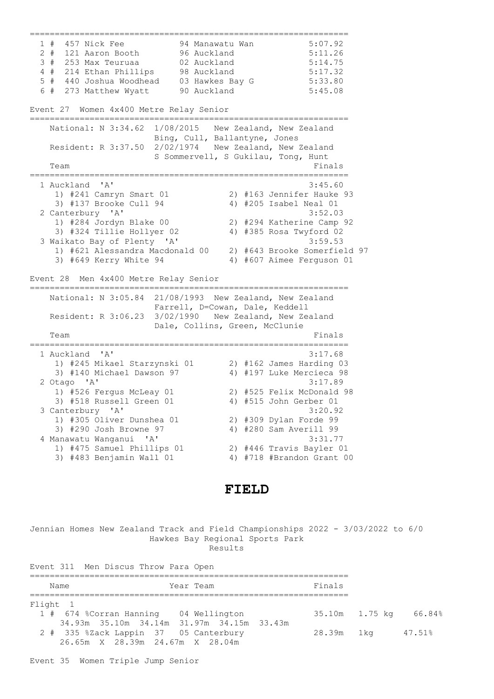================================================================ 1 # 457 Nick Fee 94 Manawatu Wan 5:07.92 2 # 121 Aaron Booth 96 Auckland 5:11.26 3 # 253 Max Teuruaa 02 Auckland 5:14.75 4 # 214 Ethan Phillips 98 Auckland 5:17.32 5 # 440 Joshua Woodhead 03 Hawkes Bay G 5:33.80  $6$  # 273 Matthew Wyatt 90 Auckland 5:45.08 Event 27 Women 4x400 Metre Relay Senior ================================================================ National: N 3:34.62 1/08/2015 New Zealand, New Zealand Bing, Cull, Ballantyne, Jones Resident: R 3:37.50 2/02/1974 New Zealand, New Zealand S Sommervell, S Gukilau, Tong, Hunt<br>Finals Team Finals ================================================================ 1 Auckland 'A' 3:45.60 1) #241 Camryn Smart 01 2) #163 Jennifer Hauke 93 3) #137 Brooke Cull 94 4) #205 Isabel Neal 01 2 Canterbury 'A' 3:52.03 1) #284 Jordyn Blake 00 2) #294 Katherine Camp 92 3) #324 Tillie Hollyer 02 4) #385 Rosa Twyford 02 3 Waikato Bay of Plenty 'A' 3:59.53 1) #621 Alessandra Macdonald 00 2) #643 Brooke Somerfield 97 3) #649 Kerry White 94 4) #607 Aimee Ferguson 01 Event 28 Men 4x400 Metre Relay Senior ================================================================ National: N 3:05.84 21/08/1993 New Zealand, New Zealand Farrell, D=Cowan, Dale, Keddell Resident: R 3:06.23 3/02/1990 New Zealand, New Zealand Dale, Collins, Green, McClunie<br>Team Team Finals ================================================================ 1 Auckland 'A' 3:17.68 1) #245 Mikael Starzynski 01 2) #162 James Harding 03 3) #140 Michael Dawson 97 4) #197 Luke Mercieca 98 2 Otago 'A' 3:17.89 1) #526 Fergus McLeay 01 2) #525 Felix McDonald 98 3) #518 Russell Green 01 4) #515 John Gerber 01 3 Canterbury 'A' 3:20.92 1) #305 Oliver Dunshea 01 2) #309 Dylan Forde 99 3) #290 Josh Browne 97 4) #280 Sam Averill 99 4 Manawatu Wanganui 'A' 3:31.77 1) #475 Samuel Phillips 01 2) #446 Travis Bayler 01 3) #483 Benjamin Wall 01 4) #718 #Brandon Grant 00

## **FIELD**

Jennian Homes New Zealand Track and Field Championships 2022 - 3/03/2022 to 6/0 Hawkes Bay Regional Sports Park Results

Event 311 Men Discus Throw Para Open ================================================================ Year Team ================================================================ Flight 1<br>1 # 674 %Corran Hanning 04 Wellington 1 # 674 %Corran Hanning 04 Wellington 35.10m 1.75 kg 66.84% 34.93m 35.10m 34.14m 31.97m 34.15m 33.43m 2 # 335 %Zack Lappin 37 05 Canterbury 28.39m 1kg 47.51% 26.65m X 28.39m 24.67m X 28.04m

Event 35 Women Triple Jump Senior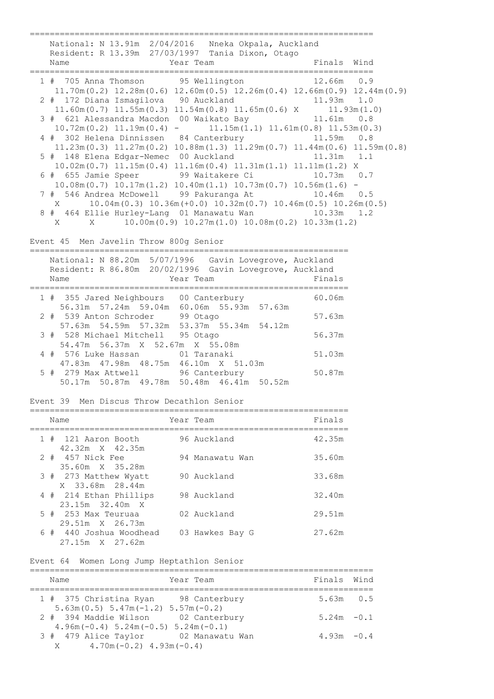===================================================================== National: N 13.91m 2/04/2016 Nneka Okpala, Auckland Resident: R 13.39m 27/03/1997 Tania Dixon, Otago<br>Name Year Team Finals Wind ===================================================================== 1 # 705 Anna Thomson 95 Wellington 11.70m(0.2) 12.28m(0.6) 12.60m(0.5) 12.26m(0.4) 12.66m(0.9) 12.44m(0.9) 2 # 172 Diana Ismagilova 90 Auckland 11.93m 1.0<br>11.60m(0.7) 11.55m(0.3) 11.54m(0.8) 11.65m(0.6) X 11.93m(1.0) 11.60m(0.7) 11.55m(0.3) 11.54m(0.8) 11.65m(0.6) X 11.93m(1.0) 3 # 621 Alessandra Macdon 00 Waikato Bay 11.61m 0.8 10.72m(0.2) 11.19m(0.4) - 11.15m(1.1) 11.61m(0.8) 11.53m(0.3) 4 # 302 Helena Dinnissen 84 Canterbury 11.23m(0.3) 11.27m(0.2) 10.88m(1.3) 11.29m(0.7) 11.44m(0.6) 11.59m(0.8)<br>| 148 Elena Edgar-Nemec 00 Auckland 11.31m 1.1 5 # 148 Elena Edgar-Nemec 00 Auckland 10.02m(0.7) 11.15m(0.4) 11.16m(0.4) 11.31m(1.1) 11.11m(1.2) X 6 # 655 Jamie Speer 99 Waitakere Ci 10.73m 0.7 10.08m(0.7) 10.17m(1.2) 10.40m(1.1) 10.73m(0.7) 10.56m(1.6) - 7 # 546 Andrea McDowell 99 Pakuranga At X 10.04m(0.3) 10.36m(+0.0) 10.32m(0.7) 10.46m(0.5) 10.26m(0.5) 8 # 464 Ellie Hurley-Lang 01 Manawatu Wan 10.33m 1.2<br>x x 10.00m (0.9) 10.27m (1.0) 10.08m (0.2) 10.33m (1.2)  $10.00$ m(0.9)  $10.27$ m(1.0)  $10.08$ m(0.2)  $10.33$ m(1.2) Event 45 Men Javelin Throw 800g Senior ================================================================ National: N 88.20m 5/07/1996 Gavin Lovegrove, Auckland Resident: R 86.80m 20/02/1996 Gavin Lovegrove, Auckland<br>Name Year Team Finals Name Year Team Finals ================================================================ 1 # 355 Jared Neighbours 00 Canterbury 60.06m 56.31m 57.24m 59.04m 60.06m 55.93m 57.63m 2 # 539 Anton Schroder 99 Otago 57.63m 57.63m 54.59m 57.32m 53.37m 55.34m 54.12m 3 # 528 Michael Mitchell 95 Otago 56.37m 54.47m 56.37m X 52.67m X 55.08m 4 # 576 Luke Hassan 01 Taranaki 51.03m 47.83m 47.98m 48.75m 46.10m X 51.03m 5 # 279 Max Attwell 96 Canterbury 50.87m 50.17m 50.87m 49.78m 50.48m 46.41m 50.52m Event 39 Men Discus Throw Decathlon Senior ================================================================ Year Team ================================================================ 1 # 121 Aaron Booth 96 Auckland 42.32m X 42.35m 2 # 457 Nick Fee 94 Manawatu Wan 35.60m 35.60m X 35.28m 3 # 273 Matthew Wyatt 90 Auckland 33.68m X 33.68m 28.44m 4 # 214 Ethan Phillips 98 Auckland 32.40m 23.15m 32.40m X 5 # 253 Max Teuruaa 02 Auckland 29.51m 29.51m X 26.73m 6 # 440 Joshua Woodhead 03 Hawkes Bay G 27.62m 27.15m X 27.62m Event 64 Women Long Jump Heptathlon Senior ===================================================================== Year Team

| 1 # 375 Christina Ryan 98 Canterbury        | $5.63m$ 0.5   |  |
|---------------------------------------------|---------------|--|
| $5.63m(0.5)$ $5.47m(-1.2)$ $5.57m(-0.2)$    |               |  |
| 2 # 394 Maddie Wilson 02 Canterbury         | $5.24m - 0.1$ |  |
| $4.96m(-0.4)$ 5.24m $(-0.5)$ 5.24m $(-0.1)$ |               |  |
| 3 # 479 Alice Taylor 02 Manawatu Wan        | $4.93m - 0.4$ |  |
| $4.70m(-0.2)$ $4.93m(-0.4)$<br>$X \sim$     |               |  |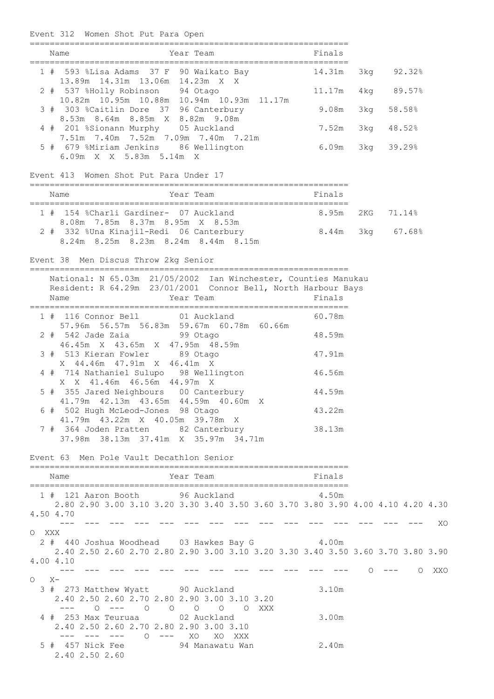Event 312 Women Shot Put Para Open

|         | Year Team<br>Name                                                                                                                             |           | <b>Example 21 Service State State</b> Pinals |        |                 |            |          |  |
|---------|-----------------------------------------------------------------------------------------------------------------------------------------------|-----------|----------------------------------------------|--------|-----------------|------------|----------|--|
|         | 1 # 593 %Lisa Adams 37 F 90 Waikato Bay                                                                                                       |           |                                              | 14.31m |                 | 3kg 92.32% |          |  |
|         | 13.89m  14.31m  13.06m  14.23m  X  X<br>2 # 537 %Holly Robinson 94 Otago                                                                      |           |                                              | 11.17m |                 | 4kg 89.57% |          |  |
|         | 10.82m  10.95m  10.88m  10.94m  10.93m  11.17m<br>3 # 303 %Caitlin Dore 37 96 Canterbury                                                      |           |                                              | 9.08m  |                 | 3kg 58.58% |          |  |
|         | 8.53m 8.64m 8.85m X 8.82m 9.08m<br>4 # 201 %Sionann Murphy 05 Auckland                                                                        |           |                                              | 7.52m  |                 | 3kg 48.52% |          |  |
|         | 7.51m 7.40m 7.52m 7.09m 7.40m 7.21m<br>5 # 679 %Miriam Jenkins 86 Wellington<br>6.09m X X 5.83m 5.14m X                                       |           |                                              | 6.09m  |                 | 3kg 39.29% |          |  |
|         | Event 413 Women Shot Put Para Under 17                                                                                                        |           |                                              |        |                 |            |          |  |
|         | Name                                                                                                                                          | Year Team |                                              | Finals |                 |            |          |  |
|         | 1 # 154 %Charli Gardiner- 07 Auckland 8.95m 2KG 71.14%                                                                                        |           |                                              |        |                 |            |          |  |
|         | 8.08m 7.85m 8.37m 8.95m X 8.53m<br>2 # 332 %Una Kinajil-Redi 06 Canterbury 6.44m 3kg 67.68%<br>8.24m 8.25m 8.23m 8.24m 8.44m 8.15m            |           |                                              |        |                 |            |          |  |
|         | Event 38 Men Discus Throw 2kg Senior                                                                                                          |           |                                              |        |                 |            |          |  |
|         | National: N 65.03m 21/05/2002 Ian Winchester, Counties Manukau<br>Resident: R 64.29m 23/01/2001 Connor Bell, North Harbour Bays<br>Name       | Year Team |                                              | Finals |                 |            |          |  |
|         | 1 # 116 Connor Bell 01 Auckland                                                                                                               |           |                                              | 60.78m |                 |            |          |  |
|         | 57.96m 56.57m 56.83m 59.67m 60.78m 60.66m<br>2 # 542 Jade Zaia 699 Otago                                                                      |           |                                              | 48.59m |                 |            |          |  |
|         | 46.45m X 43.65m X 47.95m 48.59m<br>3 # 513 Kieran Fowler 89 Otago                                                                             |           |                                              | 47.91m |                 |            |          |  |
|         | X 44.46m 47.91m X 46.41m X<br>4 # 714 Nathaniel Sulupo 98 Wellington                                                                          |           |                                              | 46.56m |                 |            |          |  |
|         | X X 41.46m 46.56m 44.97m X<br>5 # 355 Jared Neighbours 00 Canterbury                                                                          |           |                                              | 44.59m |                 |            |          |  |
|         | 41.79m  42.13m  43.65m  44.59m  40.60m  X<br>6 # 502 Hugh McLeod-Jones 98 Otago                                                               |           |                                              | 43.22m |                 |            |          |  |
|         | 41.79m  43.22m  X  40.05m  39.78m  X<br>7 # 364 Joden Pratten 82 Canterbury                                                                   |           | 38.13m                                       |        |                 |            |          |  |
|         | Event 63 Men Pole Vault Decathlon Senior                                                                                                      |           |                                              |        |                 |            |          |  |
|         | Year Team<br>Name                                                                                                                             |           | <b>Example 18</b> Finals                     |        |                 |            |          |  |
|         | 1 # 121 Aaron Booth 96 Auckland 4.50m<br>2.80 2.90 3.00 3.10 3.20 3.30 3.40 3.50 3.60 3.70 3.80 3.90 4.00 4.10 4.20 4.30<br>4.50 4.70         |           |                                              |        |                 |            |          |  |
| O XXX   | 2 # 440 Joshua Woodhead 03 Hawkes Bay G 4.00m<br>2.40 2.50 2.60 2.70 2.80 2.90 3.00 3.10 3.20 3.30 3.40 3.50 3.60 3.70 3.80 3.90<br>4.00 4.10 |           |                                              |        |                 |            | $--- 20$ |  |
| $O X -$ |                                                                                                                                               |           |                                              |        | $O$ --- $O$ XXO |            |          |  |
|         | 3 # 273 Matthew Wyatt 90 Auckland<br>2.40 2.50 2.60 2.70 2.80 2.90 3.00 3.10 3.20<br>--- 0 --- 0 0 0 0 0 XXX                                  |           |                                              | 3.10m  |                 |            |          |  |
|         | 4 # 253 Max Teuruaa 62 Auckland<br>2.40 2.50 2.60 2.70 2.80 2.90 3.00 3.10<br>--- --- --- 0 --- XO XO XXX                                     |           |                                              | 3.00m  |                 |            |          |  |
|         | 5 # 457 Nick Fee 94 Manawatu Wan<br>2.40 2.50 2.60                                                                                            |           |                                              | 2.40m  |                 |            |          |  |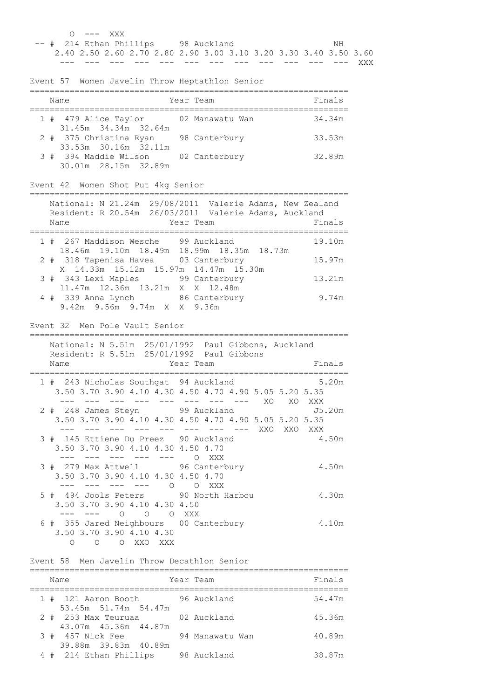| O --- XXX                                                        |                     |
|------------------------------------------------------------------|---------------------|
| -- # 214 Ethan Phillips 98 Auckland                              | NH                  |
| 2.40 2.50 2.60 2.70 2.80 2.90 3.00 3.10 3.20 3.30 3.40 3.50 3.60 |                     |
|                                                                  | ——— ——— ——— ——— XXX |

Event 57 Women Javelin Throw Heptathlon Senior

|  | Name                                           | Year Team       | Finals |
|--|------------------------------------------------|-----------------|--------|
|  | 1 # 479 Alice Taylor<br>31.45m 34.34m 32.64m   | 02 Manawatu Wan | 34.34m |
|  | 2 # 375 Christina Ryan<br>33.53m 30.16m 32.11m | 98 Canterbury   | 33.53m |
|  | 3 # 394 Maddie Wilson<br>30.01m 28.15m 32.89m  | 02 Canterbury   | 32.89m |

# Event 42 Women Shot Put 4kg Senior

| Name                                                                                  | National: N 21.24m 29/08/2011 Valerie Adams, New Zealand<br>Resident: R 20.54m 26/03/2011 Valerie Adams, Auckland<br>Year Team | Finals |
|---------------------------------------------------------------------------------------|--------------------------------------------------------------------------------------------------------------------------------|--------|
| 1 # 267 Maddison Wesche 99 Auckland<br>18.46m  19.10m  18.49m  18.99m  18.35m  18.73m |                                                                                                                                | 19.10m |
| 2 # 318 Tapenisa Havea 03 Canterbury<br>X 14.33m 15.12m 15.97m 14.47m 15.30m          |                                                                                                                                | 15.97m |
| 3 # 343 Lexi Maples 99 Canterbury<br>11.47m 12.36m 13.21m X X 12.48m                  |                                                                                                                                | 13.21m |
| 4 # 339 Anna Lynch 86 Canterbury<br>9.42m 9.56m 9.74m X X 9.36m                       |                                                                                                                                | 9.74m  |

### Event 32 Men Pole Vault Senior

| Resident: R 5.51m 25/01/1992 Paul Gibbons<br>Name<br>Year Team | National: N 5.51m 25/01/1992 Paul Gibbons, Auckland<br>Finals       |
|----------------------------------------------------------------|---------------------------------------------------------------------|
|                                                                |                                                                     |
| 1 # 243 Nicholas Southgat 94 Auckland                          | 5.20m                                                               |
|                                                                | 3.50 3.70 3.90 4.10 4.30 4.50 4.70 4.90 5.05 5.20 5.35<br>XO XO XXX |
|                                                                | 2 # 248 James Steyn 99 Auckland 55.20m                              |
|                                                                | 3.50 3.70 3.90 4.10 4.30 4.50 4.70 4.90 5.05 5.20 5.35              |
|                                                                | XXO<br>XXO<br>XXX                                                   |
| 3 # 145 Ettiene Du Preez 90 Auckland                           | 4.50m                                                               |
| 3.50 3.70 3.90 4.10 4.30 4.50 4.70                             |                                                                     |
|                                                                |                                                                     |
|                                                                | O XXX                                                               |
| 3 # 279 Max Attwell 96 Canterbury                              | 4.50m                                                               |
| 3.50 3.70 3.90 4.10 4.30 4.50 4.70                             |                                                                     |
| ------------<br>$\bigcirc$                                     | O XXX                                                               |
| 5 # 494 Jools Peters 90 North Harbou                           | 4.30m                                                               |
| 3.50 3.70 3.90 4.10 4.30 4.50                                  |                                                                     |
| $\circ$<br>$\bigcirc$                                          | O XXX                                                               |
| 6 # 355 Jared Neighbours 00 Canterbury                         | 4.10m                                                               |
| 3.50 3.70 3.90 4.10 4.30                                       |                                                                     |
| O XXO XXX<br>$\Omega$<br>$\circ$                               |                                                                     |

#### Event 58 Men Javelin Throw Decathlon Senior

| Name                                        | Year Team       | Finals |
|---------------------------------------------|-----------------|--------|
| 1 # 121 Aaron Booth<br>53.45m 51.74m 54.47m | 96 Auckland     | 54.47m |
| 2 # 253 Max Teuruaa<br>43.07m 45.36m 44.87m | 02 Auckland     | 45.36m |
| 3 # 457 Nick Fee<br>39.88m 39.83m 40.89m    | 94 Manawatu Wan | 40.89m |
| 4 # 214 Ethan Phillips                      | 98 Auckland     | 38.87m |